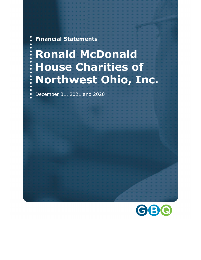**Financial Statements** 

# **Ronald McDonald House Charities of Northwest Ohio, Inc.**

December 31, 2021 and 2020

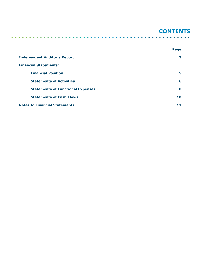# **CONTENTS**

. . . . . . . .  $0.10-0.$  $\bullet$  10  $\bullet$  $\bullet$   $\bullet$  $\begin{array}{ccc}\n\bullet & \bullet & \bullet & \bullet\n\end{array}$  $\Delta$  $\bullet$  $\bullet$  $\bullet\quad \bullet\quad \bullet\quad$  $\bullet$  $\blacksquare$ 

|                                          | Page |
|------------------------------------------|------|
| <b>Independent Auditor's Report</b>      | 3    |
| <b>Financial Statements:</b>             |      |
| <b>Financial Position</b>                | 5    |
| <b>Statements of Activities</b>          | 6    |
| <b>Statements of Functional Expenses</b> | 8    |
| <b>Statements of Cash Flows</b>          | 10   |
| <b>Notes to Financial Statements</b>     |      |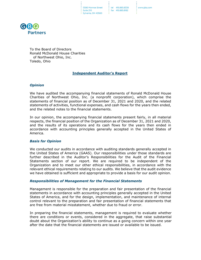5580 Monroe Street Suite 210 Sylvania, OH 43560

tel 419.885.8338 fax 419.885.8182

www.gbg.com



To the Board of Directors Ronald McDonald House Charities of Northwest Ohio, Inc. Toledo, Ohio

#### **Independent Auditor's Report**

#### *Opinion*

We have audited the accompanying financial statements of Ronald McDonald House Charities of Northwest Ohio, Inc. (a nonprofit corporation), which comprise the statements of financial position as of December 31, 2021 and 2020, and the related statements of activities, functional expenses, and cash flows for the years then ended, and the related notes to the financial statements.

In our opinion, the accompanying financial statements present fairly, in all material respects, the financial position of the Organization as of December 31, 2021 and 2020, and the results of its operations and its cash flows for the years then ended in accordance with accounting principles generally accepted in the United States of America.

#### *Basis for Opinion*

We conducted our audits in accordance with auditing standards generally accepted in the United States of America (GAAS). Our responsibilities under those standards are further described in the Auditor's Responsibilities for the Audit of the Financial Statements section of our report. We are required to be independent of the Organization and to meet our other ethical responsibilities, in accordance with the relevant ethical requirements relating to our audits. We believe that the audit evidence we have obtained is sufficient and appropriate to provide a basis for our audit opinion.

#### *Responsibilities of Management for the Financial Statements*

Management is responsible for the preparation and fair presentation of the financial statements in accordance with accounting principles generally accepted in the United States of America, and for the design, implementation, and maintenance of internal control relevant to the preparation and fair presentation of financial statements that are free from material misstatement, whether due to fraud or error.

In preparing the financial statements, management is required to evaluate whether there are conditions or events, considered in the aggregate, that raise substantial doubt about the Organization's ability to continue as a going concern within one year after the date that the financial statements are issued or available to be issued.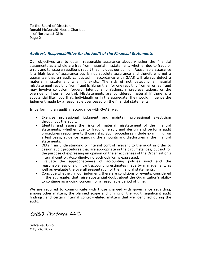To the Board of Directors Ronald McDonald House Charities of Northwest Ohio Page 2

#### *Auditor's Responsibilities for the Audit of the Financial Statements*

Our objectives are to obtain reasonable assurance about whether the financial statements as a whole are free from material misstatement, whether due to fraud or error, and to issue an auditor's report that includes our opinion. Reasonable assurance is a high level of assurance but is not absolute assurance and therefore is not a guarantee that an audit conducted in accordance with GAAS will always detect a material misstatement when it exists. The risk of not detecting a material misstatement resulting from fraud is higher than for one resulting from error, as fraud may involve collusion, forgery, intentional omissions, misrepresentations, or the override of internal control. Misstatements are considered material if there is a substantial likelihood that, individually or in the aggregate, they would influence the judgment made by a reasonable user based on the financial statements.

In performing an audit in accordance with GAAS, we:

- Exercise professional judgment and maintain professional skepticism throughout the audit.
- Identify and assess the risks of material misstatement of the financial statements, whether due to fraud or error, and design and perform audit procedures responsive to those risks. Such procedures include examining, on a test basis, evidence regarding the amounts and disclosures in the financial statements.
- Obtain an understanding of internal control relevant to the audit in order to design audit procedures that are appropriate in the circumstances, but not for the purpose of expressing an opinion on the effectiveness of the Organization's internal control. Accordingly, no such opinion is expressed.
- Evaluate the appropriateness of accounting policies used and the reasonableness of significant accounting estimates made by management, as well as evaluate the overall presentation of the financial statements.
- Conclude whether, in our judgment, there are conditions or events, considered in the aggregate, that raise substantial doubt about the Organization's ability to continue as a going concern for a reasonable period of time.

We are required to communicate with those charged with governance regarding, among other matters, the planned scope and timing of the audit, significant audit findings, and certain internal control-related matters that we identified during the audit.

GBO Partners LLC

Sylvania, Ohio May 24, 2022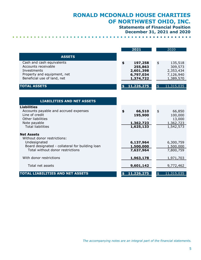# **RONALD MCDONALD HOUSE CHARITIES OF NORTHWEST OHIO, INC.**

 $\mathbf{a}$ 

**Statements of Financial Position** 

**December 31, 2021 and 2020** 

. . . . . . . . . . . . . . . . .

|                                                                                                                               | 2021                                                            | 2020                                                                       |
|-------------------------------------------------------------------------------------------------------------------------------|-----------------------------------------------------------------|----------------------------------------------------------------------------|
| <b>ASSETS</b>                                                                                                                 |                                                                 |                                                                            |
| Cash and cash equivalents<br>Accounts receivable<br>Investments<br>Property and equipment, net<br>Beneficial use of land, net | \$<br>197,258<br>255,863<br>2,601,398<br>6,797,034<br>1,374,722 | $\frac{1}{2}$<br>135,518<br>309,573<br>2,353,434<br>7,126,940<br>1,389,570 |
| <b>TOTAL ASSETS</b>                                                                                                           | 11,226,275                                                      | 11,315,035<br>$\frac{4}{5}$                                                |
| <b>LIABILITIES AND NET ASSETS</b>                                                                                             |                                                                 |                                                                            |
| <b>Liabilities</b><br>Accounts payable and accrued expenses<br>Line of credit<br><b>Other liabilities</b>                     | 66,510<br>\$<br>195,900                                         | \$<br>66,850<br>100,000<br>13,000                                          |
| Note payable<br><b>Total liabilities</b>                                                                                      | 1,362,723<br>1,625,133                                          | 1,362,723<br>1,542,573                                                     |
| <b>Net Assets</b><br>Without donor restrictions:<br>Undesignated                                                              | 6,137,964                                                       | 6,300,759                                                                  |
| Board designated - collateral for building loan<br>Total without donor restrictions                                           | 1,500,000<br>7,637,964                                          | 1,500,000<br>7,800,759                                                     |
| With donor restrictions                                                                                                       | 1,963,178                                                       | 1,971,703                                                                  |
| Total net assets                                                                                                              | 9,601,142                                                       | 9,772,462                                                                  |
| <b>TOTAL LIABILITIES AND NET ASSETS</b>                                                                                       | 11,226,275                                                      | $\frac{4}{5}$<br>11,315,035                                                |
|                                                                                                                               |                                                                 |                                                                            |

**CONTRACTOR** 

 $\bullet$ 

. . . . . .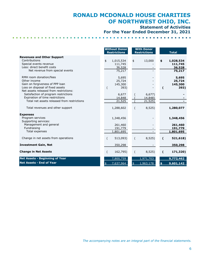### **RONALD MCDONALD HOUSE CHARITIES OF NORTHWEST OHIO, INC. Statement of Activities**

**For the Year Ended December 31, 2021** 

| <b>Revenues and Other Support</b><br>Contributions<br>$\frac{1}{2}$<br>13,000<br>1,015,534<br>\$<br>\$<br>1,028,534<br>Special events revenue<br>111,745<br>111,745<br>Less: direct benefit costs<br>36,528<br>36,528<br>Net revenue from special events<br>75,217<br>75,217<br>RMH room donation/fees<br>5,695<br>5,695<br>Other income<br>25,724<br>25,724<br>Gain on forgiveness of PPP loan<br>145,300<br>145,300<br>Loss on disposal of fixed assets<br>393)<br>393)<br>Net assets released from restrictions:<br>Satisfaction of program restrictions<br>6,677<br>6,677)<br>Expiration of time restrictions<br>14,848<br>14,848)<br>Total net assets released from restrictions<br>21,525<br>21,525)<br>Total revenues and other support<br>1,288,602<br>8,525)<br>1,280,077<br>$\overline{ }$<br><b>Expenses</b><br>Program services<br>1,348,456<br>1,348,456<br>Supporting services:<br>Management and general<br>261,460<br>261,460<br>Fundraising<br>191,779<br>191,779<br>Total expenses<br>1,801,695<br>1,801,695<br>Change in net assets from operations<br>513,093)<br>8,525)<br>521,618)<br>$\left($<br>$\left($<br>$\overline{(\ }$<br><b>Investment Gain, Net</b><br>350,298<br>350,298<br><b>Change in Net Assets</b><br>162,795)<br>8,525)<br>$\epsilon$<br>171,320)<br>(<br>$\left($<br><b>Net Assets - Beginning of Year</b><br>7,800,759<br>1,971,703<br>9,772,462 |                                 | <b>Without Donor</b><br><b>Restrictions</b> | <b>With Donor</b><br><b>Restrictions</b> | <b>Total</b>                    |
|-------------------------------------------------------------------------------------------------------------------------------------------------------------------------------------------------------------------------------------------------------------------------------------------------------------------------------------------------------------------------------------------------------------------------------------------------------------------------------------------------------------------------------------------------------------------------------------------------------------------------------------------------------------------------------------------------------------------------------------------------------------------------------------------------------------------------------------------------------------------------------------------------------------------------------------------------------------------------------------------------------------------------------------------------------------------------------------------------------------------------------------------------------------------------------------------------------------------------------------------------------------------------------------------------------------------------------------------------------------------------------------------|---------------------------------|---------------------------------------------|------------------------------------------|---------------------------------|
|                                                                                                                                                                                                                                                                                                                                                                                                                                                                                                                                                                                                                                                                                                                                                                                                                                                                                                                                                                                                                                                                                                                                                                                                                                                                                                                                                                                           |                                 |                                             |                                          |                                 |
|                                                                                                                                                                                                                                                                                                                                                                                                                                                                                                                                                                                                                                                                                                                                                                                                                                                                                                                                                                                                                                                                                                                                                                                                                                                                                                                                                                                           |                                 |                                             |                                          |                                 |
|                                                                                                                                                                                                                                                                                                                                                                                                                                                                                                                                                                                                                                                                                                                                                                                                                                                                                                                                                                                                                                                                                                                                                                                                                                                                                                                                                                                           |                                 |                                             |                                          |                                 |
|                                                                                                                                                                                                                                                                                                                                                                                                                                                                                                                                                                                                                                                                                                                                                                                                                                                                                                                                                                                                                                                                                                                                                                                                                                                                                                                                                                                           |                                 |                                             |                                          |                                 |
|                                                                                                                                                                                                                                                                                                                                                                                                                                                                                                                                                                                                                                                                                                                                                                                                                                                                                                                                                                                                                                                                                                                                                                                                                                                                                                                                                                                           |                                 |                                             |                                          |                                 |
|                                                                                                                                                                                                                                                                                                                                                                                                                                                                                                                                                                                                                                                                                                                                                                                                                                                                                                                                                                                                                                                                                                                                                                                                                                                                                                                                                                                           |                                 |                                             |                                          |                                 |
|                                                                                                                                                                                                                                                                                                                                                                                                                                                                                                                                                                                                                                                                                                                                                                                                                                                                                                                                                                                                                                                                                                                                                                                                                                                                                                                                                                                           |                                 |                                             |                                          |                                 |
|                                                                                                                                                                                                                                                                                                                                                                                                                                                                                                                                                                                                                                                                                                                                                                                                                                                                                                                                                                                                                                                                                                                                                                                                                                                                                                                                                                                           |                                 |                                             |                                          |                                 |
|                                                                                                                                                                                                                                                                                                                                                                                                                                                                                                                                                                                                                                                                                                                                                                                                                                                                                                                                                                                                                                                                                                                                                                                                                                                                                                                                                                                           |                                 |                                             |                                          |                                 |
|                                                                                                                                                                                                                                                                                                                                                                                                                                                                                                                                                                                                                                                                                                                                                                                                                                                                                                                                                                                                                                                                                                                                                                                                                                                                                                                                                                                           |                                 |                                             |                                          |                                 |
|                                                                                                                                                                                                                                                                                                                                                                                                                                                                                                                                                                                                                                                                                                                                                                                                                                                                                                                                                                                                                                                                                                                                                                                                                                                                                                                                                                                           |                                 |                                             |                                          |                                 |
|                                                                                                                                                                                                                                                                                                                                                                                                                                                                                                                                                                                                                                                                                                                                                                                                                                                                                                                                                                                                                                                                                                                                                                                                                                                                                                                                                                                           |                                 |                                             |                                          |                                 |
|                                                                                                                                                                                                                                                                                                                                                                                                                                                                                                                                                                                                                                                                                                                                                                                                                                                                                                                                                                                                                                                                                                                                                                                                                                                                                                                                                                                           |                                 |                                             |                                          |                                 |
|                                                                                                                                                                                                                                                                                                                                                                                                                                                                                                                                                                                                                                                                                                                                                                                                                                                                                                                                                                                                                                                                                                                                                                                                                                                                                                                                                                                           |                                 |                                             |                                          |                                 |
|                                                                                                                                                                                                                                                                                                                                                                                                                                                                                                                                                                                                                                                                                                                                                                                                                                                                                                                                                                                                                                                                                                                                                                                                                                                                                                                                                                                           |                                 |                                             |                                          |                                 |
|                                                                                                                                                                                                                                                                                                                                                                                                                                                                                                                                                                                                                                                                                                                                                                                                                                                                                                                                                                                                                                                                                                                                                                                                                                                                                                                                                                                           |                                 |                                             |                                          |                                 |
|                                                                                                                                                                                                                                                                                                                                                                                                                                                                                                                                                                                                                                                                                                                                                                                                                                                                                                                                                                                                                                                                                                                                                                                                                                                                                                                                                                                           |                                 |                                             |                                          |                                 |
|                                                                                                                                                                                                                                                                                                                                                                                                                                                                                                                                                                                                                                                                                                                                                                                                                                                                                                                                                                                                                                                                                                                                                                                                                                                                                                                                                                                           |                                 |                                             |                                          |                                 |
|                                                                                                                                                                                                                                                                                                                                                                                                                                                                                                                                                                                                                                                                                                                                                                                                                                                                                                                                                                                                                                                                                                                                                                                                                                                                                                                                                                                           |                                 |                                             |                                          |                                 |
|                                                                                                                                                                                                                                                                                                                                                                                                                                                                                                                                                                                                                                                                                                                                                                                                                                                                                                                                                                                                                                                                                                                                                                                                                                                                                                                                                                                           |                                 |                                             |                                          |                                 |
|                                                                                                                                                                                                                                                                                                                                                                                                                                                                                                                                                                                                                                                                                                                                                                                                                                                                                                                                                                                                                                                                                                                                                                                                                                                                                                                                                                                           |                                 |                                             |                                          |                                 |
|                                                                                                                                                                                                                                                                                                                                                                                                                                                                                                                                                                                                                                                                                                                                                                                                                                                                                                                                                                                                                                                                                                                                                                                                                                                                                                                                                                                           |                                 |                                             |                                          |                                 |
|                                                                                                                                                                                                                                                                                                                                                                                                                                                                                                                                                                                                                                                                                                                                                                                                                                                                                                                                                                                                                                                                                                                                                                                                                                                                                                                                                                                           |                                 |                                             |                                          |                                 |
|                                                                                                                                                                                                                                                                                                                                                                                                                                                                                                                                                                                                                                                                                                                                                                                                                                                                                                                                                                                                                                                                                                                                                                                                                                                                                                                                                                                           |                                 |                                             |                                          |                                 |
|                                                                                                                                                                                                                                                                                                                                                                                                                                                                                                                                                                                                                                                                                                                                                                                                                                                                                                                                                                                                                                                                                                                                                                                                                                                                                                                                                                                           |                                 |                                             |                                          |                                 |
|                                                                                                                                                                                                                                                                                                                                                                                                                                                                                                                                                                                                                                                                                                                                                                                                                                                                                                                                                                                                                                                                                                                                                                                                                                                                                                                                                                                           |                                 |                                             |                                          |                                 |
|                                                                                                                                                                                                                                                                                                                                                                                                                                                                                                                                                                                                                                                                                                                                                                                                                                                                                                                                                                                                                                                                                                                                                                                                                                                                                                                                                                                           | <b>Net Assets - End of Year</b> | 7.637.964<br>$\mathbf{\hat{S}}$             | $\frac{1}{2}$<br>1.963.178               | $\dot{\mathbf{s}}$<br>9,601,142 |

*The accompanying notes are an integral part of the financial statements.*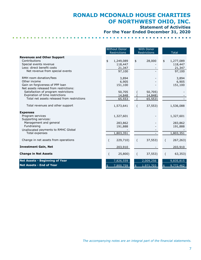### **RONALD MCDONALD HOUSE CHARITIES OF NORTHWEST OHIO, INC. Statement of Activities**

**For the Year Ended December 31, 2020** 

|                                                       | <b>Without Donor</b><br><b>Restrictions</b> | With Donor<br>Restrictions | <b>Total</b>                    |
|-------------------------------------------------------|---------------------------------------------|----------------------------|---------------------------------|
| <b>Revenues and Other Support</b>                     |                                             |                            |                                 |
| Contributions                                         | \$<br>1,249,089                             | 28,000<br>\$               | 1,277,089<br>\$                 |
| Special events revenue                                | 118,447                                     |                            | 118,447                         |
| Less: direct benefit costs                            | 21,347                                      |                            | 21,347                          |
| Net revenue from special events                       | 97,100                                      |                            | 97,100                          |
| RMH room donation/fees                                | 3,894                                       |                            | 3,894                           |
| Other income                                          | 6,905                                       |                            | 6,905                           |
| Gain on forgiveness of PPP loan                       | 151,100                                     |                            | 151,100                         |
| Net assets released from restrictions:                |                                             |                            |                                 |
| Satisfaction of program restrictions                  | 50,705                                      | 50,705)                    |                                 |
| Expiration of time restrictions                       | 14,848                                      | 14,848)                    |                                 |
| Total net assets released from restrictions           | 65,553                                      | 65,553)                    |                                 |
| Total revenues and other support                      | 1,573,641                                   | 37,553)                    | 1,536,088                       |
| <b>Expenses</b>                                       |                                             |                            |                                 |
| Program services                                      | 1,327,601                                   |                            | 1,327,601                       |
| Supporting services:                                  |                                             |                            |                                 |
| Management and general                                | 283,862                                     |                            | 283,862                         |
| Fundraising                                           | 191,888                                     |                            | 191,888                         |
| Unallocated payments to RMHC Global<br>Total expenses | 1,803,351                                   |                            | 1,803,351                       |
|                                                       |                                             |                            |                                 |
| Change in net assets from operations                  | 229,710)<br>$\overline{(\ }$                | 37,553)<br>$\left($        | 267,263)<br>$\left($            |
| <b>Investment Gain, Net</b>                           | 203,910                                     |                            | 203,910                         |
| <b>Change in Net Assets</b>                           | 25,800)                                     | 37,553)<br>$\left($        | 63,353)<br>$\overline{(\ }$     |
| <b>Net Assets - Beginning of Year</b>                 | 7,826,559                                   | 2,009,256                  | 9,835,815                       |
| <b>Net Assets - End of Year</b>                       | 7.800.759<br>$\mathbf{\hat{S}}$             | $\frac{4}{5}$<br>1,971,703 | 9,772,462<br>$\mathbf{\hat{S}}$ |

*The accompanying notes are an integral part of the financial statements.*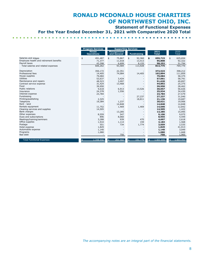## **RONALD MCDONALD HOUSE CHARITIES OF NORTHWEST OHIO, INC. Statement of Functional Expenses**

**For the Year Ended December 31, 2021 with Comparative 2020 Total** 

|                                                          | <b>Program Services</b>           | <b>Supporting Services</b>         |                                    |                                      |                                    |
|----------------------------------------------------------|-----------------------------------|------------------------------------|------------------------------------|--------------------------------------|------------------------------------|
|                                                          | <b>House</b><br><b>Operations</b> | <b>Management</b><br>and General   | <b>Fundraising</b>                 | 2021<br><b>Total</b>                 | 2020<br><b>Total</b>               |
|                                                          |                                   |                                    |                                    |                                      |                                    |
| Salaries and wages                                       | \$<br>491,487                     | \$<br>75,867                       | 92,360<br>\$                       | \$<br>659,715                        | 625,654<br>$\overline{\mathbf{r}}$ |
| Employee health and retirement benefits<br>Payroll taxes | 71,377<br>43,398                  | 11,018<br>6,699                    | 13,413<br>8,155                    | 95,808                               | 92,322<br>51,794                   |
| Total salaries and related expenses                      | 606,262                           |                                    |                                    | 58,252<br>813,775                    | 769,770                            |
|                                                          |                                   | 93,584                             | 113,928                            |                                      |                                    |
| Depreciation                                             | 350,172                           | 22,351                             |                                    | 372,523                              | 398,212                            |
| Professional fees                                        | 14,405                            | 74,084                             | 14,405                             | 102,894                              | 111,859                            |
| House supplies                                           | 79,084                            |                                    |                                    | 79,084                               | 58,375                             |
| <b>Utilities</b>                                         | 53,637                            | 3,424                              |                                    | 57,061                               | 58,791                             |
| Maintenance and repairs                                  | 48,523                            | 3,097                              |                                    | 51,620                               | 49,897                             |
| Contract service expense                                 | 31,424                            | 13,468                             |                                    | 44,892                               | 25,375                             |
| Food                                                     | 39,950                            |                                    |                                    | 39,950                               | 28,462                             |
| Public relations                                         | 9,618                             | 6,913                              | 13,526                             | 30,057                               | 56,026                             |
| Insurance                                                | 24,378                            | 1,556                              |                                    | 25,934                               | 34,430                             |
| Interest expense                                         | 23,784                            |                                    |                                    | 23,784                               | 27,579                             |
| Fundraising                                              |                                   |                                    | 27,237                             | 27,237                               | 31,040                             |
| Printing/publishing                                      | 2,325                             |                                    | 18,811                             | 21,136                               | 19,687                             |
| Telephone                                                | 19,384                            | 1,237                              |                                    | 20,621                               | 19,906                             |
| Rent - land                                              |                                   | 14,848                             |                                    | 14,848                               | 14,848                             |
| Rentals equipment                                        | 11,752                            | 1,469                              | 1,469                              | 14,690                               | 12,842                             |
| Cleaning services and supplies                           | 14,505                            |                                    |                                    | 14,505                               | 1,422                              |
| Bank charges                                             |                                   | 13,285                             |                                    | 13,285                               | 15,995                             |
| Other expenses                                           | 8,559                             | 547                                |                                    | 9,106                                | 9,075                              |
| Dues and subscriptions                                   | 896                               | 8,060                              |                                    | 8,955                                | 4,449                              |
| Meetings/training/seminars                               | 3,288                             | 939                                | 470                                | 4,697                                | 2,618                              |
| Office supplies                                          | 1,910                             | 1,114                              | 159                                | 3,183                                | 1,568                              |
| Postage                                                  | 551                               | 734                                | 1,774                              | 3,059                                | 2,535                              |
| Hotel expense                                            | 1,829                             |                                    |                                    | 1,829                                | 41,913                             |
| Automobile expense                                       | 1,140                             |                                    |                                    | 1,140                                | 3,049                              |
| Programs                                                 | 1,080                             |                                    |                                    | 1,080                                | 1,668                              |
| Bad debt                                                 |                                   | 750                                |                                    | 750                                  | 1,960                              |
|                                                          |                                   |                                    |                                    |                                      |                                    |
| <b>Total Functional Expenses</b>                         | 1,348,456<br>$\frac{4}{5}$        | 261,460<br>$\overline{\mathbf{s}}$ | $\mathsf{\overline{5}}$<br>191,779 | 1,801,695<br>$\overline{\mathbf{5}}$ | 1,803,351<br>$\mathfrak{s}$        |

**A** A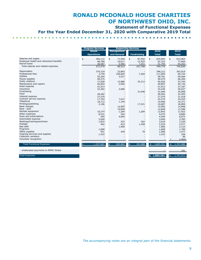# **RONALD MCDONALD HOUSE CHARITIES OF NORTHWEST OHIO, INC. Statement of Functional Expenses**

**For the Year Ended December 31, 2020 with Comparative 2019 Total** 

|                                         | <b>Program Services</b>         |                         | <b>Supporting Services</b> |               |               |
|-----------------------------------------|---------------------------------|-------------------------|----------------------------|---------------|---------------|
|                                         | <b>House</b>                    | <b>Management</b>       |                            | 2020          | 2019          |
|                                         | <b>Operations</b>               | and General             | <b>Fundraising</b>         | <b>Total</b>  | <b>Total</b>  |
| Salaries and wages                      | \$<br>466,112                   | \$<br>71,950            | \$<br>87,592               | 625,654<br>\$ | \$<br>612,963 |
| Employee health and retirement benefits | 68,780                          | 10,617                  | 12,925                     | 92,322        | 77,604        |
| Payroll taxes                           | 38,587                          | 5,956                   | 7,251                      | 51,794        | 55,263        |
| Total salaries and related expenses     | 573,479                         | 88,523                  | 107,768                    | 769,770       | 745,830       |
| Depreciation                            | 374,319                         | 23,893                  |                            | 398,212       | 393,919       |
| Professional fees                       | 3,749                           | 100,845                 | 7,265                      | 111,859       | 69,725        |
| Utilities                               | 55,264                          | 3,527                   |                            | 58,791        | 69,564        |
| House supplies                          | 58,375                          |                         |                            | 58,375        | 66,250        |
| Public relations                        | 17,928                          | 12,886                  | 25,212                     | 56,026        | 53,744        |
| Maintenance and repairs                 | 46,903                          | 2,994                   |                            | 49,897        | 45,735        |
| Hotel expense                           | 41,913                          |                         |                            | 41,913        | 37,187        |
| Insurance                               | 32,364                          | 2,066                   |                            | 34,430        | 36,027        |
| Fundraising                             |                                 |                         | 31,040                     | 31,040        | 34,698        |
| Food                                    | 28,462                          |                         |                            | 28,462        | 32,503        |
| Interest expense                        | 27,579                          |                         |                            | 27,579        | 31,418        |
| Contract service expense                | 17,763                          | 7,612                   |                            | 25,375        | 24,553        |
| Telephone                               | 18,712                          | 1,194                   |                            | 19,906        | 19,371        |
| Printing/publishing                     | 2,166                           |                         | 17,521                     | 19,687        | 18,850        |
| Bank charges                            |                                 | 15,995                  |                            | 15,995        | 14,848        |
| Rent - land                             |                                 | 14,848                  |                            | 14,848        | 13,596        |
| Rentals equipment                       | 10,274                          | 1,284                   | 1,284                      | 12,842        | 11,922        |
| Other expenses                          | 8,531                           | 544                     |                            | 9,075         | 8,884         |
| Dues and subscriptions                  | 445                             | 4,004                   |                            | 4,449         | 6,072         |
| Automobile expense                      | 3,049                           |                         |                            | 3,049         | 3,783         |
| Meetings/training/seminars              | 1,833                           | 523                     | 262                        | 2,618         | 3,230         |
| Postage                                 | 462                             | 615                     | 1,458                      | 2,535         | 2,577         |
| Bad debt                                |                                 | 1,960                   |                            | 1,960         | 2,124         |
| Programs                                | 1,668                           |                         |                            | 1,668         | 1,700         |
| Office supplies                         | 941                             | 549                     | 78                         | 1,568         | 1,477         |
| Cleaning services and supplies          | 1,422                           |                         |                            | 1,422         | 258           |
| Collection canisters                    |                                 |                         |                            |               | 99            |
| Volunteer recognition                   |                                 |                         |                            |               | 2,464)        |
| <b>Total Functional Expenses</b>        | 1,327,601<br>$\mathbf{\hat{S}}$ | 283,862<br>$\mathsf{s}$ | 191.888<br>$\mathfrak{s}$  | \$1,803,351   | \$ 1.747.480  |
| Unallocated payments to RMHC Global     |                                 |                         |                            |               | 191           |

 $\alpha$ 

 $\mathbf{a}$  $\overline{a}$  $\sim$ 

 $0.00$ 

Total Expenses **\$ 1,803,351 \$ 1,747,671** 

*The accompanying notes are an integral part of the financial statements.*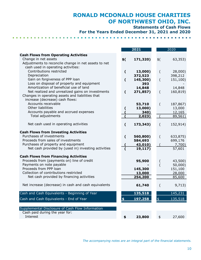# **RONALD MCDONALD HOUSE CHARITIES OF NORTHWEST OHIO, INC.**

**Statements of Cash Flows** 

**For the Years Ended December 31, 2021 and 2020** 

|                                                                               |                          | 2021              |                           | 2020              |
|-------------------------------------------------------------------------------|--------------------------|-------------------|---------------------------|-------------------|
| <b>Cash Flows from Operating Activities</b>                                   |                          |                   |                           |                   |
| Change in net assets                                                          | \$(                      | 171,320)          | $\frac{4}{3}$             | 63,353)           |
| Adjustments to reconcile change in net assets to net                          |                          |                   |                           |                   |
| cash used in operating activities:                                            |                          |                   |                           |                   |
| Contributions restricted                                                      | $\overline{\mathcal{L}}$ | 13,000)           | $\overline{(\ }$          | 28,000)           |
| Depreciation                                                                  |                          | 372,523           |                           | 398,212           |
| Gain on forgiveness of PPP loan<br>Loss on disposal of property and equipment | $\overline{ }$           | 145,300)<br>393   | $\overline{(\ }$          | 151,100)          |
| Amortization of beneficial use of land                                        |                          | 14,848            |                           | 14,848            |
| Net realized and unrealized gains on investments                              | $\overline{ }$           | 271,857)          | $\overline{(\ }$          | 160,819)          |
| Changes in operating assets and liabilities that                              |                          |                   |                           |                   |
| increase (decrease) cash flows:                                               |                          |                   |                           |                   |
| Accounts receivable                                                           |                          | 53,710            | $\overline{(\ }$          | 187,867)          |
| <b>Other liabilities</b>                                                      |                          | 13,000)           |                           | 13,000            |
| Accounts payable and accrued expenses                                         |                          | 340)              |                           | 12,165            |
| Total adjustments                                                             |                          | 2,023)            |                           | 89,561            |
|                                                                               |                          |                   |                           |                   |
| Net cash used in operating activities                                         | $\overline{(}$           | 173,343)          | $\overline{(\ }$          | 152,914)          |
| <b>Cash Flows from Investing Activities</b>                                   |                          |                   |                           |                   |
| Purchases of investments                                                      | $\overline{(}$           | 560,800)          | $\left($                  | 633,875)          |
| Proceeds from sales of investments                                            |                          | 584,693           |                           | 699,176           |
| Purchases of property and equipment                                           |                          | 43,010)           |                           | 7,700)            |
| Net cash provided by (used in) investing activities                           | $\overline{(\ }$         | 19,117)           |                           | 57,601            |
|                                                                               |                          |                   |                           |                   |
| <b>Cash Flows from Financing Activities</b>                                   |                          |                   |                           |                   |
| Proceeds from (payments on) line of credit                                    |                          | 95,900            | $\left($                  | 43,500)           |
| Payments on note payable<br>Proceeds from PPP loan                            |                          |                   |                           | 50,000)           |
| Collection of contributions restricted                                        |                          | 145,300<br>13,000 |                           | 151,100<br>28,000 |
| Net cash provided by financing activities                                     |                          | 254,200           |                           | 85,600            |
|                                                                               |                          |                   |                           |                   |
| Net increase (decrease) in cash and cash equivalents                          |                          | 61,740            | $\overline{(\ }$          | 9,713)            |
|                                                                               |                          |                   |                           |                   |
| Cash and Cash Equivalents - Beginning of Year                                 |                          | 135,518           |                           | 145,231           |
| Cash and Cash Equivalents - End of Year                                       |                          | 197,258           | $\overline{\mathfrak{s}}$ | 135,518           |
|                                                                               |                          |                   |                           |                   |
| Supplemental Disclosure of Cash Flow Information                              |                          |                   |                           |                   |
| Cash paid during the year for:                                                |                          |                   |                           |                   |
| Interest                                                                      | \$                       | 23,800            | \$                        | 27,600            |

. . . . . . . .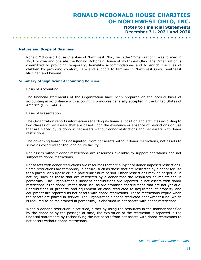**December 31, 2021 and 2020** 

#### . . . . . . . . . . . . . .

#### **Nature and Scope of Business**

Ronald McDonald House Charities of Northwest Ohio, Inc. (the "Organization") was formed in 1981 to own and operate the Ronald McDonald House of Northwest Ohio. The Organization is committed to providing temporary, homelike accommodations and to enrich the lives of children by providing comfort, care and support to families in Northwest Ohio, Southeast Michigan and beyond.

#### **Summary of Significant Accounting Policies**

#### Basis of Accounting

The financial statements of the Organization have been prepared on the accrual basis of accounting in accordance with accounting principles generally accepted in the United States of America (U.S. GAAP).

#### Basis of Presentation

The Organization reports information regarding its financial position and activities according to two classes of net assets that are based upon the existence or absence of restrictions on use that are placed by its donors: net assets without donor restrictions and net assets with donor restrictions.

The governing board has designated, from net assets without donor restrictions, net assets to serve as collateral for the loan on its facility.

Net assets without donor restrictions are resources available to support operations and not subject to donor restrictions.

Net assets with donor restrictions are resources that are subject to donor-imposed restrictions. Some restrictions are temporary in nature, such as those that are restricted by a donor for use for a particular purpose or in a particular future period. Other restrictions may be perpetual in nature; such as those that are restricted by a donor that the resources be maintained in perpetuity. The Organization's unspent contributions are reported in net assets with donor restrictions if the donor limited their use, as are promised contributions that are not yet due. Contributions of property and equipment or cash restricted to acquisition of property and equipment are reported as net assets with donor restrictions. These restrictions expire when the assets are placed in service. The Organization's donor-restricted endowment fund, which is required to be maintained in perpetuity, is classified in net assets with donor restrictions.

When a donor's restriction is satisfied, either by using the resources in the manner specified by the donor or by the passage of time, the expiration of the restriction is reported in the financial statements by reclassifying the net assets from net assets with donor restrictions to net assets without donor restrictions.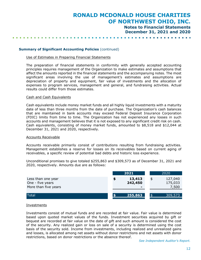#### **Summary of Significant Accounting Policies (continued)**

#### Use of Estimates in Preparing Financial Statements

The preparation of financial statements in conformity with generally accepted accounting principles requires management of the Organization to make estimates and assumptions that affect the amounts reported in the financial statements and the accompanying notes. The most significant areas involving the use of management's estimates and assumptions are depreciation of property and equipment, fair value of investments and the allocation of expenses to program services, management and general, and fundraising activities. Actual results could differ from those estimates.

#### Cash and Cash Equivalents

Cash equivalents include money market funds and all highly liquid investments with a maturity date of less than three months from the date of purchase. The Organization's cash balances that are maintained in bank accounts may exceed Federal Deposit Insurance Corporation (FDIC) limits from time to time. The Organization has not experienced any losses in such accounts and management believes that it is not exposed to any significant credit risk on cash. Cash equivalents, consisting of money market funds, amounted to \$8,518 and \$12,044 at December 31, 2021 and 2020, respectively.

#### Accounts Receivable

Accounts receivable primarily consist of contributions resulting from fundraising activities. Management establishes a reserve for losses on its receivables based on current aging of receivables, a specific review of potential bad debts and historic loss experience.

Unconditional promises to give totaled \$255,863 and \$309,573 as of December 31, 2021 and 2020, respectively. Amounts due are as follows:

|                                                                |   | 2021              |              | 2020                        |
|----------------------------------------------------------------|---|-------------------|--------------|-----------------------------|
| Less than one year<br>One - five years<br>More than five years | S | 13,413<br>242,450 |              | 127,040<br>175,033<br>7,500 |
| <b>Total</b>                                                   |   | 255,863           | $\mathbf{A}$ | 309,573                     |

#### Investments

Investments consist of mutual funds and are recorded at fair value. Fair value is determined based upon quoted market values of the funds. Investment securities acquired by gift or bequest are recorded at fair value on the date of gift and such amount is considered the cost of the security. Any realized gain or loss on sale of a security is determined using the cost basis of the security sold. Income from investments, including realized and unrealized gains and losses, is allocated among net assets without donor restrictions and net assets with donor restrictions, based on donor restrictions or the absence thereof.

. . . . . . . . . . . . .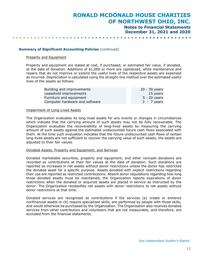#### **Summary of Significant Accounting Policies (continued)**

#### Property and Equipment

Property and equipment are stated at cost, if purchased, or estimated fair value, if donated, at the date of donation. Additions of \$1,000 or more are capitalized, while maintenance and repairs that do not improve or extend the useful lives of the respective assets are expensed as incurred. Depreciation is calculated using the straight-line method over the estimated useful lives of the assets as follows:

| Building and improvements      | 20 - 39 years  |
|--------------------------------|----------------|
| Leasehold improvements         | 15 years       |
| Furniture and equipment        | $5 - 20$ years |
| Computer hardware and software | 3 - 7 years    |

#### Impairment of Long-Lived Assets

The Organization evaluates its long lived assets for any events or changes in circumstances which indicate that the carrying amount of such assets may not be fully recoverable. The Organization evaluates the recoverability of long-lived assets by measuring the carrying amount of such assets against the estimated undiscounted future cash flows associated with them. At the time such evaluation indicates that the future undiscounted cash flows of certain long-lived assets are not sufficient to recover the carrying value of such assets, the assets are adjusted to their fair values.

#### Donated Assets, Property and Equipment, and Services

Donated marketable securities, property and equipment, and other noncash donations are recorded as contributions at their fair values at the date of donation. Such donations are reported as increases in net assets without donor restrictions unless the donor has restricted the donated asset for a specific purpose. Assets donated with explicit restrictions regarding their use are reported as restricted contributions. Absent donor stipulations regarding how long those donated assets must be maintained, the Organization reports expirations of donor restrictions when the donated or acquired assets are placed in service as instructed by the donor. The Organization reclassifies net assets with donor restrictions to net assets without donor restrictions at that time.

Donated services are recognized as contributions if the services (a) create or enhance nonfinancial assets or (b) require specialized skills, are performed by people with those skills, and would otherwise be purchased by the Organization. The Organization also receives donated services from other contributors and volunteers that are not measurable, and therefore, are excluded from the financial statements.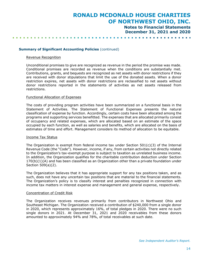. . . . . . . . . . . . . . .

#### **Summary of Significant Accounting Policies (continued)**

#### Revenue Recognition

Unconditional promises to give are recognized as revenue in the period the promise was made. Conditional promises are recorded as revenue when the conditions are substantially met. Contributions, grants, and bequests are recognized as net assets with donor restrictions if they are received with donor stipulations that limit the use of the donated assets. When a donor restriction expires, net assets with donor restrictions are reclassified to net assets without donor restrictions reported in the statements of activities as net assets released from restrictions.

#### Functional Allocation of Expenses

The costs of providing program activities have been summarized on a functional basis in the Statement of Activities. The Statement of Functional Expenses presents the natural classification of expense by function. Accordingly, certain costs have been allocated among the programs and supporting services benefitted. The expenses that are allocated primarily consist of occupancy and related expenses, which are allocated based on an estimate of the space occupied by each function, as well as salaries and benefits, which are allocated on the basis of estimates of time and effort. Management considers its method of allocation to be equitable.

#### Income Tax Status

The Organization is exempt from federal income tax under Section  $501(c)(3)$  of the Internal Revenue Code (the "Code"). However, income, if any, from certain activities not directly related to the Organization's tax-exempt purpose is subject to taxation as unrelated business income. In addition, the Organization qualifies for the charitable contribution deduction under Section  $170(b)(1)(A)$  and has been classified as an Organization other than a private foundation under Section 509(a)(2).

The Organization believes that it has appropriate support for any tax positions taken, and as such, does not have any uncertain tax positions that are material to the financial statements. The Organization's policy is to classify interest and penalties recognized in connection with income tax matters in interest expense and management and general expense, respectively.

#### Concentration of Credit Risk

The Organization receives revenues primarily from contributors in Northwest Ohio and Southeast Michigan. The Organization received a contribution of \$240,000 from a single donor in 2020, which represents approximately 16%, of total pledges in 2020. There were no such single donors in 2021. At December 31, 2021 and 2020 receivables from these donors amounted to approximately 94% and 78%, of total receivables at such date.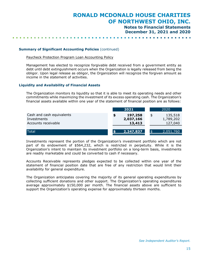#### **Summary of Significant Accounting Policies (continued)**

#### Paycheck Protection Program Loan Accounting Policy

Management has elected to recognize forgivable debt received from a government entity as debt until debt extinguishment occurs when the Organization is legally released from being the obligor. Upon legal release as obligor, the Organization will recognize the forgiven amount as income in the statement of activities.

#### **Liquidity and Availability of Financial Assets**

The Organization monitors its liquidity so that it is able to meet its operating needs and other commitments while maximizing the investment of its excess operating cash. The Organization's financial assets available within one year of the statement of financial position are as follows:

|                                                                 |   | 2021                           | 2020                                  |
|-----------------------------------------------------------------|---|--------------------------------|---------------------------------------|
| Cash and cash equivalents<br>Investments<br>Accounts receivable | S | 197,258<br>2,037,166<br>13,413 | \$<br>135,518<br>1,789,202<br>127,040 |
| <b>Total</b>                                                    |   | 2,247,837                      | 2,051,760                             |

Investments represent the portion of the Organization's investment portfolio which are not part of its endowment of \$564,232, which is restricted in perpetuity. While it is the Organization's intent to maintain its investment portfolio on a long-term basis, investments are readily marketable and could be converted to cash if necessary.

Accounts Receivable represents pledges expected to be collected within one year of the statement of financial position date that are free of any restriction that would limit their availability for general expenditure.

The Organization anticipates covering the majority of its general operating expenditures by collecting sufficient donations and other support. The Organization's operating expenditures average approximately \$150,000 per month. The financial assets above are sufficient to support the Organization's operating expense for approximately thirteen months.

. . . . . . . . . . . . . .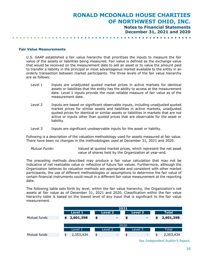. . . . . . . . . . . . . . . . .

#### **Fair Value Measurements**

U.S. GAAP established a fair value hierarchy that prioritizes the inputs to measure the fair value of the assets or liabilities being measured. Fair value is defined as the exchange value that would be received on the measurement date to sell an asset or to value the amount paid to transfer a liability in the principal or most advantageous market available to the entity in an orderly transaction between market participants. The three levels of the fair value hierarchy are as follows:

- Level 1 Inputs are unadjusted quoted market prices in active markets for identical assets or liabilities that the entity has the ability to access at the measurement date. Level 1 inputs provide the most reliable measure of fair value as of the measurement date.
- Level 2 Inputs are based on significant observable inputs, including unadjusted quoted market prices for similar assets and liabilities in active markets, unadjusted quoted prices for identical or similar assets or liabilities in markets that are not active or inputs other than quoted prices that are observable for the asset or liability.
- Level 3 Inputs are significant unobservable inputs for the asset or liability.

Following is a description of the valuation methodology used for assets measured at fair value. There have been no changes in the methodologies used at December 31, 2021 and 2020.

*Mutual Funds:* Valued at quoted market prices, which represent the net asset value of shares held by the Organization at year-end.

The preceding methods described may produce a fair value calculation that may not be indicative of net realizable value or reflective of future fair values. Furthermore, although the Organization believes its valuation methods are appropriate and consistent with other market participants, the use of different methodologies or assumptions to determine the fair value of certain financial instruments could result in a different fair value measurement at the reporting date.

The following table sets forth by level, within the fair value hierarchy, the Organization's net assets at fair value as of December 31, 2021 and 2020. Classification within the fair value hierarchy table is based on the lowest level of any input that is significant to the fair value measurement.

|              |    | 2021      |    |                          |      |                          |    |              |
|--------------|----|-----------|----|--------------------------|------|--------------------------|----|--------------|
|              |    | Level 1   |    | <b>Level 2</b>           |      | Level 3                  |    | <b>Total</b> |
| Mutual funds | S. | 2,601,398 | \$ | ۰                        | \$   | $\blacksquare$           | S  | 2,601,398    |
|              |    |           |    |                          | 2020 |                          |    |              |
|              |    | Level 1   |    | Level 2                  |      | Level 3                  |    | Total        |
| Mutual funds | \$ | 2,353,434 | \$ | $\overline{\phantom{a}}$ | \$   | $\overline{\phantom{a}}$ | \$ | 2,353,434    |

*See Independent Auditor's Report.*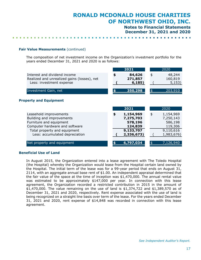### **RONALD MCDONALD HOUSE CHARITIES OF NORTHWEST OHIO, INC. Notes to Financial Statements**

**December 31, 2021 and 2020** 

. . . . . . . . . . . . . . .

#### **Fair Value Measurements** (continued)

The composition of net investment income on the Organization's investment portfolio for the years ended December 31, 2021 and 2020 is as follows:

|                                                                                                                                                                                    | 2021                                                                          | 2020                                                                          |
|------------------------------------------------------------------------------------------------------------------------------------------------------------------------------------|-------------------------------------------------------------------------------|-------------------------------------------------------------------------------|
| Interest and dividend income<br>Realized and unrealized gains (losses), net<br>Less: investment expense                                                                            | \$<br>84,626<br>271,857<br>6,185)                                             | \$<br>48,244<br>160,819<br>5,153)                                             |
| Investment Gain, net                                                                                                                                                               | 350,298                                                                       | \$<br>203,910                                                                 |
| <b>Property and Equipment</b>                                                                                                                                                      | 2021                                                                          | 2020                                                                          |
| Leasehold improvements<br>Building and improvements<br>Furniture and equipment<br>Computer hardware and software<br>Total property and equipment<br>Less: accumulated depreciation | \$<br>1,154,969<br>7,275,703<br>578,196<br>124,839<br>9,133,707<br>2,336,673) | \$<br>1,154,969<br>7,250,143<br>586,198<br>119,306<br>9,110,616<br>1,983,676) |
| Net property and equipment                                                                                                                                                         | 6,797,034                                                                     | \$<br>7,126,940                                                               |

#### **Beneficial Use of Land**

In August 2015, the Organization entered into a lease agreement with The Toledo Hospital (the Hospital) whereby the Organization would lease from the Hospital certain land owned by the Hospital. The initial term of the lease was for a 99-year period that ends on August 31, 2114, with an aggregate annual base rent of \$1.00. An independent appraisal determined that the fair value of the space at the time of inception was \$1,470,000. The annual rental value was estimated to be approximately \$147,000 per year. In connection with this lease agreement, the Organization recorded a restricted contribution in 2015 in the amount of \$1,470,000. The value remaining on the use of land is \$1,374,722 and \$1,389,570 as of December 31, 2021 and 2020, respectively. Rent expense associated with the use of land is being recognized on a straight line basis over term of the lease. For the years ended December 31, 2021 and 2020, rent expense of \$14,848 was recorded in connection with this lease agreement.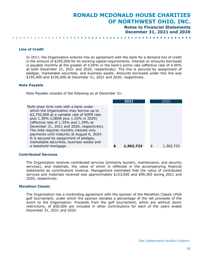

#### **Line of Credit**

In 2017, the Organization entered into an agreement with the bank for a demand line of credit in the amount of \$250,000 for its working capital requirements. Interest on amounts borrowed is payable monthly at the greater of 4.00% or the bank's prime rate (effective rate of 4.00% at both December 31, 2021 and 2020, respectively). The line is secured by assignment of pledges, marketable securities, and business assets. Amounts borrowed under this line was \$195,900 and \$100,000 at December 31, 2021 and 2020, respectively.

#### **Note Payable**

Note Payable consists of the following as of December 31:



#### **Contributed Services**

The Organization receives contributed services (primarily laundry, maintenance, and security services), and materials, the value of which is reflected in the accompanying financial statements as contributions revenue. Management estimated that the value of contributed services and materials received was approximately \$103,000 and \$99,300 during 2021 and 2020, respectively.

#### **Marathon Classic**

The Organization has a nonbinding agreement with the sponsor of the Marathon Classic LPGA golf tournament, under which the sponsor donates a percentage of the net proceeds of the event to the Organization. Proceeds from the golf tournament, which are without donor restrictions, of \$50,000 are included in other contributions for each of the years ended December 31, 2021 and 2020.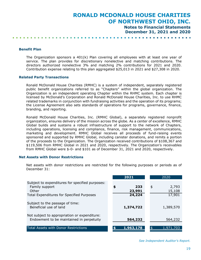. . . . . . . . . . . . . . . . .

**Benefit Plan**

The Organization sponsors a  $401(k)$  Plan covering all employees with at least one year of service. The plan provides for discretionary nonelective and matching contributions. The directors authorized nonelective 3% and matching 2% contributions for 2021 and 2020. Contribution expense relating to this plan aggregated \$25,013 in 2021 and \$27,308 in 2020.

#### **Related Party Transactions**

Ronald McDonald House Charities (RMHC) is a system of independent, separately registered public benefit organizations referred to as "Chapters" within the global organization. The Organization is an independent operating Chapter within the RHMC system. Each chapter is licensed by McDonald's Corporation and Ronald McDonald House Charities, Inc. to use RHMC related trademarks in conjunction with fundraising activities and the operation of its programs; the License Agreement also sets standards of operations for programs, governance, finance, branding, and reporting.

Ronald McDonald House Charities, Inc. (RMHC Global), a separately registered nonprofit organization, ensures delivery of the mission across the globe. As a center of excellence, RMHC Global builds and sustains a robust infrastructure of support to the network of Chapters, including operations, licensing and compliance, finance, risk management, communications, marketing and development. RMHC Global receives all proceeds of fund-raising events sponsored and supported by RMHC Global, including canister donations, and remits a portion of the proceeds to the Organization. The Organization received contributions of \$108,367 and \$119,506 from RMHC Global in 2021 and 2020, respectively. The Organization's receivables from RMHC Global were \$-0- and \$101 as of December 31, 2021 and 2020, respectively.

#### **Net Assets with Donor Restrictions**

Net assets with donor restrictions are restricted for the following purposes or periods as of December 31:

|                                                                                          | 2021                | 2020                  |  |
|------------------------------------------------------------------------------------------|---------------------|-----------------------|--|
| Subject to expenditures for specified purposes:<br>Family support<br>Other               | \$<br>233<br>23,991 | \$<br>2,793<br>15,108 |  |
| Total Expenditures for Specified Purposes                                                | 24,224              | 17,901                |  |
| Subject to the passage of time:<br>Beneficial use of land                                | 1,374,722           | 1,389,570             |  |
| Not subject to appropriation or expenditure:<br>Endowment to be maintained in perpetuity | 564,232             | 564,232               |  |
| <b>Total Assets with Donor Restrictions</b>                                              | 1,963,178           | 1,971,703             |  |
|                                                                                          |                     |                       |  |

*See Independent Auditor's Report.*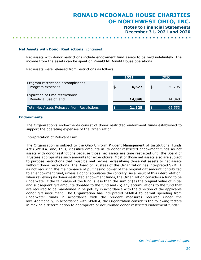. . . . . . . . . . . . . . . . .

#### **Net Assets with Donor Restrictions** (continued)

Net assets with donor restrictions include endowment fund assets to be held indefinitely. The income from the assets can be spent on Ronald McDonald House operations.

Net assets were released from restrictions as follows:

|                                                            | 2021   | 2020 |        |
|------------------------------------------------------------|--------|------|--------|
| Program restrictions accomplished:<br>Program expenses     | 6,677  | \$   | 50,705 |
| Expiration of time restrictions:<br>Beneficial use of land | 14,848 |      | 14,848 |
| <b>Total Net Assets Released from Restrictions</b>         | 21,525 |      | 65,553 |

#### **Endowments**

The Organization's endowments consist of donor restricted endowment funds established to support the operating expenses of the Organization.

#### Interpretation of Relevant Law

The Organization is subject to the Ohio Uniform Prudent Management of Institutional Funds Act (SPMIFA) and, thus, classifies amounts in its donor-restricted endowment funds as net assets with donor restrictions because those net assets are time restricted until the Board of Trustees appropriates such amounts for expenditure. Most of those net assets also are subject to purpose restrictions that must be met before reclassifying those net assets to net assets without donor restrictions. The Board of Trustees of the Organization has interpreted SPMIFA as not requiring the maintenance of purchasing power of the original gift amount contributed to an endowment fund, unless a donor stipulates the contrary. As a result of this interpretation, when reviewing its donor-restricted endowment funds, the Organization considers a fund to be underwater if the fair value of the fund is less than the sum of (a) the original value of initial and subsequent gift amounts donated to the fund and (b) any accumulations to the fund that are required to be maintained in perpetuity in accordance with the direction of the applicable donor gift instrument. The Organization has interpreted SPMIFA to permit spending from underwater funds in accordance with the prudent measures required under the law. Additionally, in accordance with SPMIFA, the Organization considers the following factors in making a determination to appropriate or accumulate donor-restricted endowment funds: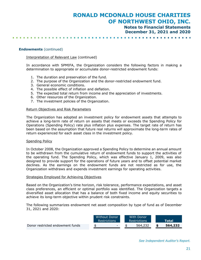# **RONALD MCDONALD HOUSE CHARITIES OF NORTHWEST OHIO, INC.**

**Notes to Financial Statements December 31, 2021 and 2020** 

#### **Endowments** (continued)

#### Interpretation of Relevant Law (continued)

In accordance with SPMIFA, the Organization considers the following factors in making a determination to appropriate or accumulate donor-restricted endowment funds:

- 1. The duration and preservation of the fund.
- 2. The purpose of the Organization and the donor-restricted endowment fund.
- 3. General economic conditions.
- 4. The possible effect of inflation and deflation.
- 5. The expected total return from income and the appreciation of investments.
- 6. Other resources of the Organization.
- 7. The investment policies of the Organization.

#### Return Objectives and Risk Parameters

The Organization has adopted an investment policy for endowment assets that attempts to achieve a long-term rate of return on assets that meets or exceeds the Spending Policy for Operations (Spending Policy) rate plus inflation plus expenses. The target rate of return has been based on the assumption that future real returns will approximate the long-term rates of return experienced for each asset class in the investment policy.

#### Spending Policy

In October 2008, the Organization approved a Spending Policy to determine an annual amount to be withdrawn from the cumulative return of endowment funds to support the activities of the operating fund. The Spending Policy, which was effective January 1, 2009, was also designed to provide support for the operations of future years and to offset potential market declines. As the earnings on the endowment funds are not restricted as for use, the Organization withdraws and expends investment earnings for operating activities.

#### Strategies Employed for Achieving Objectives

Based on the Organization's time horizon, risk tolerance, performance expectations, and asset class preferences, an efficient or optimal portfolio was identified. The Organization targets a diversified asset allocation that has a balance of both fixed income and equity securities to achieve its long-term objective within prudent risk constraints.

The following summarizes endowment net asset composition by type of fund as of December 31, 2021 and 2020: